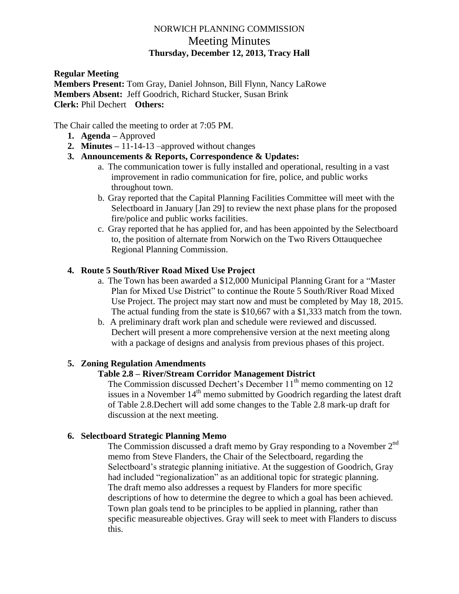# NORWICH PLANNING COMMISSION Meeting Minutes **Thursday, December 12, 2013, Tracy Hall**

**Regular Meeting Members Present:** Tom Gray, Daniel Johnson, Bill Flynn, Nancy LaRowe **Members Absent:** Jeff Goodrich, Richard Stucker, Susan Brink **Clerk:** Phil Dechert **Others:**

The Chair called the meeting to order at 7:05 PM.

- **1. Agenda –** Approved
- **2. Minutes –** 11-14-13 –approved without changes
- **3. Announcements & Reports, Correspondence & Updates:**
	- a. The communication tower is fully installed and operational, resulting in a vast improvement in radio communication for fire, police, and public works throughout town.
	- b. Gray reported that the Capital Planning Facilities Committee will meet with the Selectboard in January [Jan 29] to review the next phase plans for the proposed fire/police and public works facilities.
	- c. Gray reported that he has applied for, and has been appointed by the Selectboard to, the position of alternate from Norwich on the Two Rivers Ottauquechee Regional Planning Commission.

# **4. Route 5 South/River Road Mixed Use Project**

- a. The Town has been awarded a \$12,000 Municipal Planning Grant for a "Master Plan for Mixed Use District" to continue the Route 5 South/River Road Mixed Use Project. The project may start now and must be completed by May 18, 2015. The actual funding from the state is \$10,667 with a \$1,333 match from the town.
- b. A preliminary draft work plan and schedule were reviewed and discussed. Dechert will present a more comprehensive version at the next meeting along with a package of designs and analysis from previous phases of this project.

## **5. Zoning Regulation Amendments**

### **Table 2.8 – River/Stream Corridor Management District**

The Commission discussed Dechert's December  $11<sup>th</sup>$  memo commenting on 12 issues in a November  $14<sup>th</sup>$  memo submitted by Goodrich regarding the latest draft of Table 2.8.Dechert will add some changes to the Table 2.8 mark-up draft for discussion at the next meeting.

### **6. Selectboard Strategic Planning Memo**

The Commission discussed a draft memo by Gray responding to a November 2<sup>nd</sup> memo from Steve Flanders, the Chair of the Selectboard, regarding the Selectboard's strategic planning initiative. At the suggestion of Goodrich, Gray had included "regionalization" as an additional topic for strategic planning. The draft memo also addresses a request by Flanders for more specific descriptions of how to determine the degree to which a goal has been achieved. Town plan goals tend to be principles to be applied in planning, rather than specific measureable objectives. Gray will seek to meet with Flanders to discuss this.